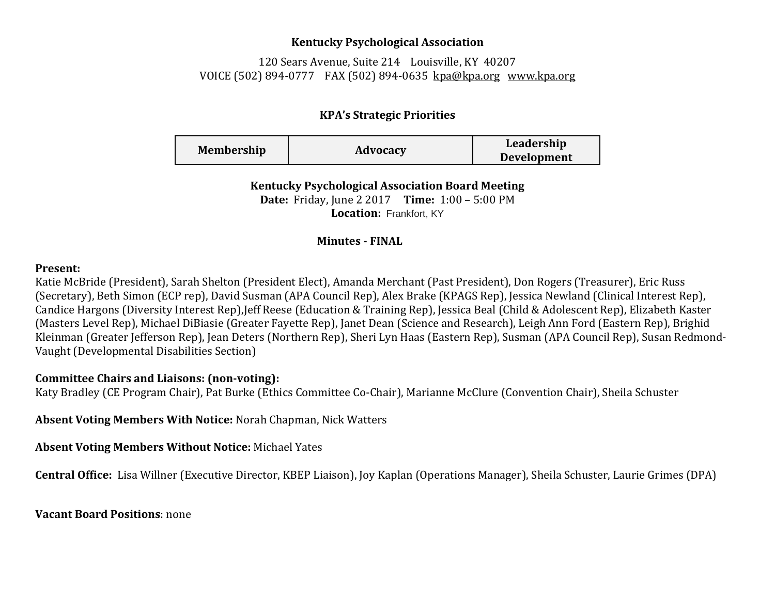## **Kentucky Psychological Association**

120 Sears Avenue, Suite 214 Louisville, KY 40207 VOICE (502) 894-0777 FAX (502) 894-0635 [kpa@kpa.org](mailto:kpa@kih.net) [www.kpa.org](http://www.kpa.org/)

# **KPA's Strategic Priorities**

| <b>Membership</b> | Advocacy | Leadership         |
|-------------------|----------|--------------------|
|                   |          | <b>Development</b> |

**Kentucky Psychological Association Board Meeting Date:** Friday, June 2 2017 **Time:** 1:00 – 5:00 PM **Location:** Frankfort, KY

### **Minutes - FINAL**

#### **Present:**

Katie McBride (President), Sarah Shelton (President Elect), Amanda Merchant (Past President), Don Rogers (Treasurer), Eric Russ (Secretary), Beth Simon (ECP rep), David Susman (APA Council Rep), Alex Brake (KPAGS Rep), Jessica Newland (Clinical Interest Rep), Candice Hargons (Diversity Interest Rep),Jeff Reese (Education & Training Rep), Jessica Beal (Child & Adolescent Rep), Elizabeth Kaster (Masters Level Rep), Michael DiBiasie (Greater Fayette Rep), Janet Dean (Science and Research), Leigh Ann Ford (Eastern Rep), Brighid Kleinman (Greater Jefferson Rep), Jean Deters (Northern Rep), Sheri Lyn Haas (Eastern Rep), Susman (APA Council Rep), Susan Redmond-Vaught (Developmental Disabilities Section)

## **Committee Chairs and Liaisons: (non-voting):**

Katy Bradley (CE Program Chair), Pat Burke (Ethics Committee Co-Chair), Marianne McClure (Convention Chair), Sheila Schuster

**Absent Voting Members With Notice:** Norah Chapman, Nick Watters

**Absent Voting Members Without Notice:** Michael Yates

**Central Office:** Lisa Willner (Executive Director, KBEP Liaison), Joy Kaplan (Operations Manager), Sheila Schuster, Laurie Grimes (DPA)

**Vacant Board Positions**: none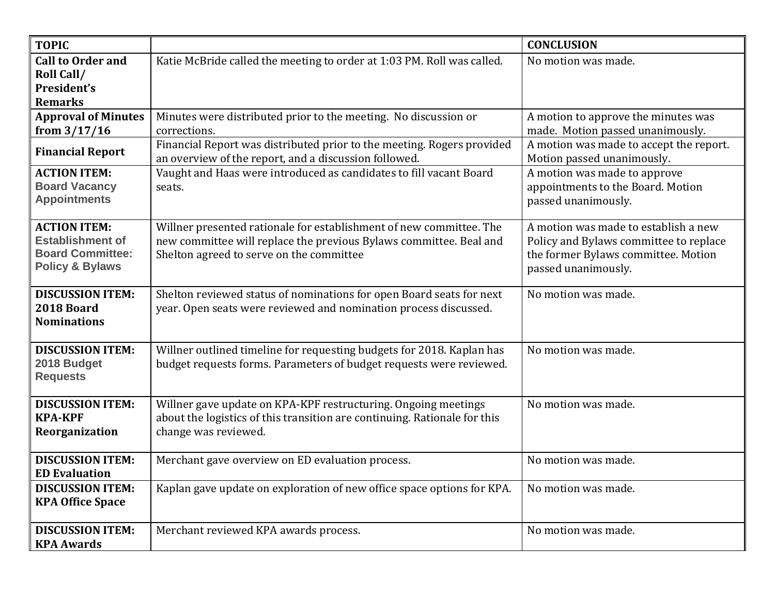| <b>TOPIC</b>                                                                                            |                                                                                                                                                                                       | <b>CONCLUSION</b>                                                                                                                            |
|---------------------------------------------------------------------------------------------------------|---------------------------------------------------------------------------------------------------------------------------------------------------------------------------------------|----------------------------------------------------------------------------------------------------------------------------------------------|
| <b>Call to Order and</b><br><b>Roll Call/</b><br>President's<br><b>Remarks</b>                          | Katie McBride called the meeting to order at 1:03 PM. Roll was called.                                                                                                                | No motion was made.                                                                                                                          |
| <b>Approval of Minutes</b><br>from $3/17/16$                                                            | Minutes were distributed prior to the meeting. No discussion or<br>corrections.                                                                                                       | A motion to approve the minutes was<br>made. Motion passed unanimously.                                                                      |
| <b>Financial Report</b>                                                                                 | Financial Report was distributed prior to the meeting. Rogers provided<br>an overview of the report, and a discussion followed.                                                       | A motion was made to accept the report.<br>Motion passed unanimously.                                                                        |
| <b>ACTION ITEM:</b><br><b>Board Vacancy</b><br><b>Appointments</b>                                      | Vaught and Haas were introduced as candidates to fill vacant Board<br>seats.                                                                                                          | A motion was made to approve<br>appointments to the Board. Motion<br>passed unanimously.                                                     |
| <b>ACTION ITEM:</b><br><b>Establishment of</b><br><b>Board Committee:</b><br><b>Policy &amp; Bylaws</b> | Willner presented rationale for establishment of new committee. The<br>new committee will replace the previous Bylaws committee. Beal and<br>Shelton agreed to serve on the committee | A motion was made to establish a new<br>Policy and Bylaws committee to replace<br>the former Bylaws committee. Motion<br>passed unanimously. |
| <b>DISCUSSION ITEM:</b><br>2018 Board<br><b>Nominations</b>                                             | Shelton reviewed status of nominations for open Board seats for next<br>year. Open seats were reviewed and nomination process discussed.                                              | No motion was made.                                                                                                                          |
| <b>DISCUSSION ITEM:</b><br>2018 Budget<br><b>Requests</b>                                               | Willner outlined timeline for requesting budgets for 2018. Kaplan has<br>budget requests forms. Parameters of budget requests were reviewed.                                          | No motion was made.                                                                                                                          |
| <b>DISCUSSION ITEM:</b><br><b>KPA-KPF</b><br>Reorganization                                             | Willner gave update on KPA-KPF restructuring. Ongoing meetings<br>about the logistics of this transition are continuing. Rationale for this<br>change was reviewed.                   | No motion was made.                                                                                                                          |
| <b>DISCUSSION ITEM:</b><br><b>ED Evaluation</b>                                                         | Merchant gave overview on ED evaluation process.                                                                                                                                      | No motion was made.                                                                                                                          |
| <b>DISCUSSION ITEM:</b><br><b>KPA Office Space</b>                                                      | Kaplan gave update on exploration of new office space options for KPA.                                                                                                                | No motion was made.                                                                                                                          |
| <b>DISCUSSION ITEM:</b><br><b>KPA Awards</b>                                                            | Merchant reviewed KPA awards process.                                                                                                                                                 | No motion was made.                                                                                                                          |